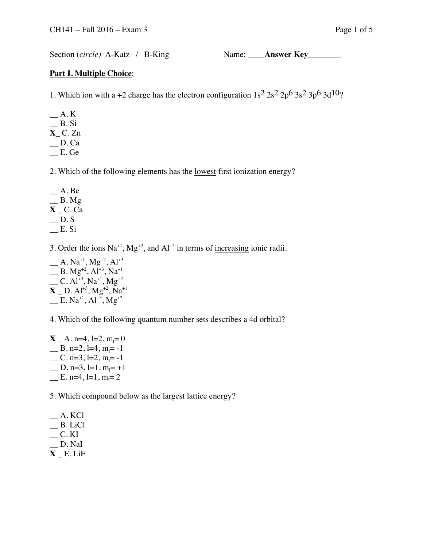Section (*circle*) A-Katz / B-King Name: \_\_\_\_**Answer Key\_\_\_\_\_\_\_** 

## **Part I. Multiple Choice**:

1. Which ion with a +2 charge has the electron configuration  $1s^2 2s^2 2p^6 3s^2 3p^6 3d^{10}$ ?

 $\_\,A. K$  $B.Si$ **X**\_ C. Zn  $\Box$  D. Ca \_\_ E. Ge

2. Which of the following elements has the lowest first ionization energy?

 $A. Be$  $\_\_\_\$ B. Mg **X** \_ C. Ca  $\Box$  D. S  $E. Si$ 

3. Order the ions  $\text{Na}^{+1}$ ,  $\text{Mg}^{+2}$ , and  $\text{Al}^{+3}$  in terms of <u>increasing</u> ionic radii.

 $A. Na^{+1}, Mg^{+2}, Al^{+3}$  $\overline{\phantom{a}}$  B. Mg<sup>+2</sup>, Al<sup>+3</sup>, Na<sup>+1</sup>  $\sqrt{C}$ . Al<sup>+3</sup>, Na<sup>+1</sup>, Mg<sup>+2</sup>  $X = D. A1^{+3}, Mg^{+2}, Na^{+1}$  $\mathbf{E} \cdot \mathbf{N} \mathbf{a}^{+1}, \mathbf{A} \mathbf{I}^{+3}, \mathbf{M} \mathbf{g}^{+2}$ 

4. Which of the following quantum number sets describes a 4d orbital?

 $X_ - A$ . n=4, l=2, m<sub>l</sub>=0  $\angle$  B. n=2, l=4, m<sub>l</sub>=-1  $\angle$  C. n=3, l=2, m<sub>l</sub>=-1  $\angle$  D. n=3, l=1, m<sub>l</sub>= +1  $\equiv$  E. n=4, l=1, m<sub>l</sub>= 2

5. Which compound below as the largest lattice energy?

 $-$  A. KCl  $\_$  B. LiCl  $\_\_$  C. KI \_\_ D. NaI **X** \_ E. LiF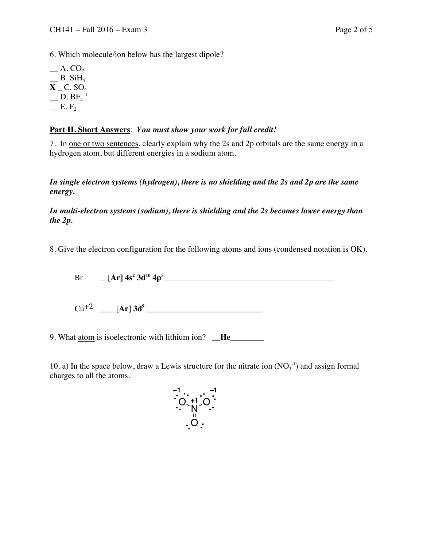6. Which molecule/ion below has the largest dipole?

 $\_\,A. CO$  $B. SiH<sub>4</sub>$  $X_C$ . SO<sub>2</sub>  $\_\_$  D. BF $_4^{-1}$  $\mathbb{E} \cdot F$ 

## **Part II. Short Answers**: *You must show your work for full credit!*

7. In one or two sentences, clearly explain why the 2s and 2p orbitals are the same energy in a hydrogen atom, but different energies in a sodium atom.

*In single electron systems (hydrogen), there is no shielding and the 2s and 2p are the same energy.*

*In multi-electron systems (sodium), there is shielding and the 2s becomes lower energy than the 2p.*

8. Give the electron configuration for the following atoms and ions (condensed notation is OK).

Br \_\_[**Ar] 4s<sup>2</sup> 3d<sup>10</sup> 4p<sup>5</sup>** \_\_\_\_\_\_\_\_\_\_\_\_\_\_\_\_\_\_\_\_\_\_\_\_\_\_\_\_\_\_\_\_\_\_\_\_\_\_\_\_\_

 $Cu^{+2}$   $[Ar] 3d^9$ 

9. What atom is isoelectronic with lithium ion? **He** 

10. a) In the space below, draw a Lewis structure for the nitrate ion  $(NO<sub>3</sub><sup>-1</sup>)$  and assign formal charges to all the atoms.

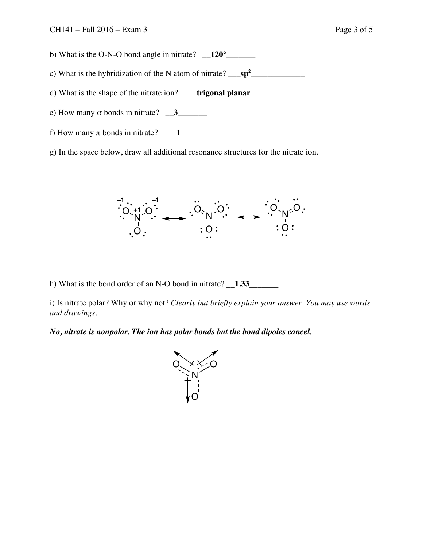- b) What is the O-N-O bond angle in nitrate? **120°**
- c) What is the hybridization of the N atom of nitrate? \_\_\_**sp<sup>2</sup>** \_\_\_\_\_\_\_\_\_\_\_\_\_

d) What is the shape of the nitrate ion? \_\_\_**trigonal planar**\_\_\_\_\_\_\_\_\_\_\_\_\_\_\_\_\_\_\_\_

- e) How many  $\sigma$  bonds in nitrate?  $\frac{3}{2}$
- f) How many  $\pi$  bonds in nitrate?  $\boxed{\phantom{1}1}$
- g) In the space below, draw all additional resonance structures for the nitrate ion.



h) What is the bond order of an N-O bond in nitrate? **1.33** 

i) Is nitrate polar? Why or why not? *Clearly but briefly explain your answer. You may use words and drawings.*

*No, nitrate is nonpolar. The ion has polar bonds but the bond dipoles cancel.*

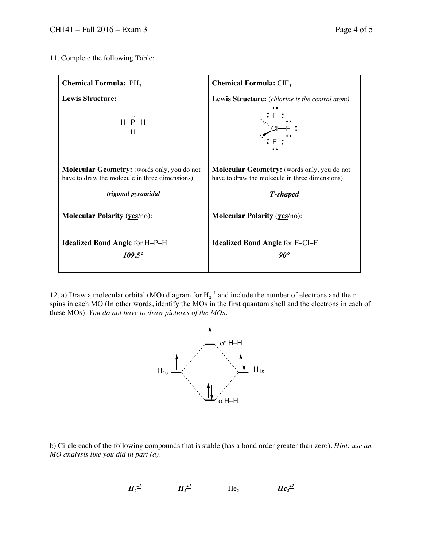11. Complete the following Table:

| <b>Chemical Formula: PH<sub>3</sub></b>            | <b>Chemical Formula:</b> $CIF_3$                                                                                                                                                                                                                                                                                                                                                                                                                                                                                                                                                                                        |
|----------------------------------------------------|-------------------------------------------------------------------------------------------------------------------------------------------------------------------------------------------------------------------------------------------------------------------------------------------------------------------------------------------------------------------------------------------------------------------------------------------------------------------------------------------------------------------------------------------------------------------------------------------------------------------------|
| <b>Lewis Structure:</b>                            | Lewis Structure: (chlorine is the central atom)                                                                                                                                                                                                                                                                                                                                                                                                                                                                                                                                                                         |
| $H-P-H$<br>Н                                       | $\begin{array}{c} \vdots \mathop{\vdots} \limits_{\begin{subarray}{c} \mathop{\sim}\limits_{\mathop{\sim}\limits_{\mathop{\sim}\limits_{\mathop{\sim}\limits_{\mathop{\sim}\limits_{\mathop{\sim}\limits_{\mathop{\sim}\limits_{\mathop{\sim}\limits_{\mathop{\sim}\limits_{\mathop{\sim}\limits_{\mathop{\sim}\limits_{\mathop{\sim}\limits_{\mathop{\sim}\limits_{\mathop{\sim}\limits_{\mathop{\sim}\limits_{\mathop{\sim}\limits_{\mathop{\sim}\limits_{\mathop{\sim}\limits_{\mathop{\sim}\limits_{\mathop{\sim}\limits_{\mathop{\sim}\limits_{\mathop{\sim}\limits_{\mathop{\sim}\limits_{\mathop{\sim}\limits_{$ |
| <b>Molecular Geometry:</b> (words only, you do not | <b>Molecular Geometry:</b> (words only, you do not                                                                                                                                                                                                                                                                                                                                                                                                                                                                                                                                                                      |
| have to draw the molecule in three dimensions)     | have to draw the molecule in three dimensions)                                                                                                                                                                                                                                                                                                                                                                                                                                                                                                                                                                          |
| trigonal pyramidal                                 | T-shaped                                                                                                                                                                                                                                                                                                                                                                                                                                                                                                                                                                                                                |
| <b>Molecular Polarity (yes/no):</b>                | <b>Molecular Polarity (yes/no):</b>                                                                                                                                                                                                                                                                                                                                                                                                                                                                                                                                                                                     |
| <b>Idealized Bond Angle for H-P-H</b>              | <b>Idealized Bond Angle for F-CI-F</b>                                                                                                                                                                                                                                                                                                                                                                                                                                                                                                                                                                                  |
| $109.5^{\circ}$                                    | $90^{\circ}$                                                                                                                                                                                                                                                                                                                                                                                                                                                                                                                                                                                                            |

12. a) Draw a molecular orbital (MO) diagram for  $H_2^{-1}$  and include the number of electrons and their spins in each MO (In other words, identify the MOs in the first quantum shell and the electrons in each of these MOs). *You do not have to draw pictures of the MOs.* 



b) Circle each of the following compounds that is stable (has a bond order greater than zero). *Hint: use an MO analysis like you did in part (a).*

$$
\underline{H}_{2}^{\perp 1} \qquad \qquad \underline{H}_{2}^{\perp 1} \qquad \qquad \text{He}_{2} \qquad \qquad \underline{He}_{2}^{\perp 1}
$$